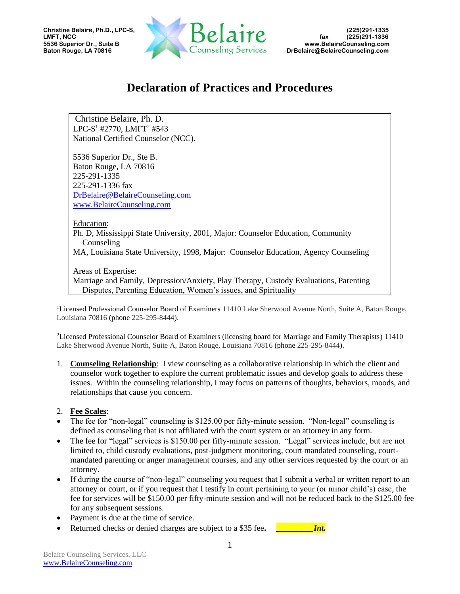

## **Declaration of Practices and Procedures**

Christine Belaire, Ph. D. LPC-S<sup>1</sup> #2770, LMFT<sup>2</sup> #543 National Certified Counselor (NCC).

5536 Superior Dr., Ste B. Baton Rouge, LA 70816 225-291-1335 225-291-1336 fax [DrBelaire@BelaireCounseling.com](mailto:DrBelaire@BelaireCounseling.com)  [www.BelaireCounseling.com](http://www.belairecounseling.com/)

Education:

Ph. D, Mississippi State University, 2001, Major: Counselor Education, Community Counseling

MA, Louisiana State University, 1998, Major: Counselor Education, Agency Counseling

Areas of Expertise:

Marriage and Family, Depression/Anxiety, Play Therapy, Custody Evaluations, Parenting Disputes, Parenting Education, Women's issues, and Spirituality

<sup>1</sup>Licensed Professional Counselor Board of Examiners 11410 Lake Sherwood Avenue North, Suite A, Baton Rouge, Louisiana 70816 (phone 225-295-8444).

<sup>2</sup>Licensed Professional Counselor Board of Examiners (licensing board for Marriage and Family Therapists) 11410 Lake Sherwood Avenue North, Suite A, Baton Rouge, Louisiana 70816 (phone 225-295-8444).

1. **Counseling Relationship**: I view counseling as a collaborative relationship in which the client and counselor work together to explore the current problematic issues and develop goals to address these issues. Within the counseling relationship, I may focus on patterns of thoughts, behaviors, moods, and relationships that cause you concern.

## 2. **Fee Scales**:

- The fee for "non-legal" counseling is \$125.00 per fifty-minute session. "Non-legal" counseling is defined as counseling that is not affiliated with the court system or an attorney in any form.
- The fee for "legal" services is \$150.00 per fifty-minute session. "Legal" services include, but are not limited to, child custody evaluations, post-judgment monitoring, court mandated counseling, courtmandated parenting or anger management courses, and any other services requested by the court or an attorney.
- If during the course of "non-legal" counseling you request that I submit a verbal or written report to an attorney or court, or if you request that I testify in court pertaining to your (or minor child's) case, the fee for services will be \$150.00 per fifty-minute session and will not be reduced back to the \$125.00 fee for any subsequent sessions.
- Payment is due at the time of service.
- Returned checks or denied charges are subject to a \$35 fee. *Int.*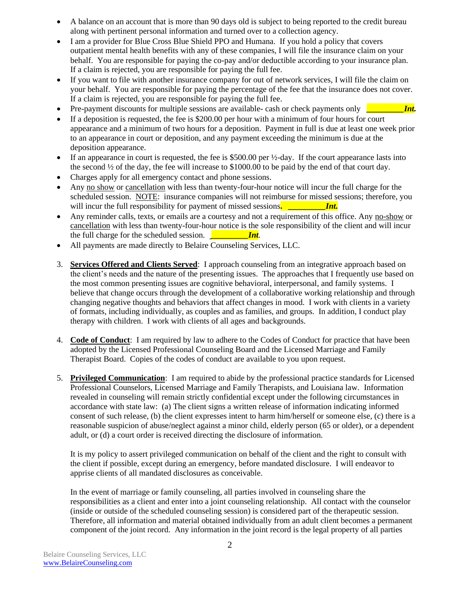- A balance on an account that is more than 90 days old is subject to being reported to the credit bureau along with pertinent personal information and turned over to a collection agency.
- I am a provider for Blue Cross Blue Shield PPO and Humana. If you hold a policy that covers outpatient mental health benefits with any of these companies, I will file the insurance claim on your behalf. You are responsible for paying the co-pay and/or deductible according to your insurance plan. If a claim is rejected, you are responsible for paying the full fee.
- If you want to file with another insurance company for out of network services, I will file the claim on your behalf. You are responsible for paying the percentage of the fee that the insurance does not cover. If a claim is rejected, you are responsible for paying the full fee.
- Pre-payment discounts for multiple sessions are available- cash or check payments only *Int.*
- If a deposition is requested, the fee is \$200.00 per hour with a minimum of four hours for court appearance and a minimum of two hours for a deposition. Payment in full is due at least one week prior to an appearance in court or deposition, and any payment exceeding the minimum is due at the deposition appearance.
- If an appearance in court is requested, the fee is  $$500.00$  per  $\frac{1}{2}$ -day. If the court appearance lasts into the second ½ of the day, the fee will increase to \$1000.00 to be paid by the end of that court day.
- Charges apply for all emergency contact and phone sessions.
- Any no show or cancellation with less than twenty-four-hour notice will incur the full charge for the scheduled session. NOTE: insurance companies will not reimburse for missed sessions; therefore, you will incur the full responsibility for payment of missed sessions. *Int.*
- Any reminder calls, texts, or emails are a courtesy and not a requirement of this office. Any no-show or cancellation with less than twenty-four-hour notice is the sole responsibility of the client and will incur the full charge for the scheduled session. **Int**
- All payments are made directly to Belaire Counseling Services, LLC.
- 3. **Services Offered and Clients Served**: I approach counseling from an integrative approach based on the client's needs and the nature of the presenting issues. The approaches that I frequently use based on the most common presenting issues are cognitive behavioral, interpersonal, and family systems. I believe that change occurs through the development of a collaborative working relationship and through changing negative thoughts and behaviors that affect changes in mood. I work with clients in a variety of formats, including individually, as couples and as families, and groups. In addition, I conduct play therapy with children. I work with clients of all ages and backgrounds.
- 4. **Code of Conduct**: I am required by law to adhere to the Codes of Conduct for practice that have been adopted by the Licensed Professional Counseling Board and the Licensed Marriage and Family Therapist Board. Copies of the codes of conduct are available to you upon request.
- 5. **Privileged Communication**: I am required to abide by the professional practice standards for Licensed Professional Counselors, Licensed Marriage and Family Therapists, and Louisiana law. Information revealed in counseling will remain strictly confidential except under the following circumstances in accordance with state law: (a) The client signs a written release of information indicating informed consent of such release, (b) the client expresses intent to harm him/herself or someone else, (c) there is a reasonable suspicion of abuse/neglect against a minor child, elderly person (65 or older), or a dependent adult, or (d) a court order is received directing the disclosure of information.

It is my policy to assert privileged communication on behalf of the client and the right to consult with the client if possible, except during an emergency, before mandated disclosure. I will endeavor to apprise clients of all mandated disclosures as conceivable.

In the event of marriage or family counseling, all parties involved in counseling share the responsibilities as a client and enter into a joint counseling relationship. All contact with the counselor (inside or outside of the scheduled counseling session) is considered part of the therapeutic session. Therefore, all information and material obtained individually from an adult client becomes a permanent component of the joint record. Any information in the joint record is the legal property of all parties